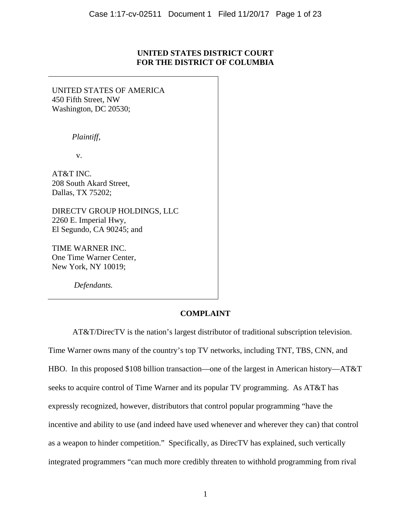# **UNITED STATES DISTRICT COURT FOR THE DISTRICT OF COLUMBIA**

UNITED STATES OF AMERICA 450 Fifth Street, NW Washington, DC 20530;

*Plaintiff,*

v.

AT&T INC. 208 South Akard Street, Dallas, TX 75202;

DIRECTV GROUP HOLDINGS, LLC 2260 E. Imperial Hwy, El Segundo, CA 90245; and

TIME WARNER INC. One Time Warner Center, New York, NY 10019;

 *Defendants.*

# **COMPLAINT**

AT&T/DirecTV is the nation's largest distributor of traditional subscription television. Time Warner owns many of the country's top TV networks, including TNT, TBS, CNN, and HBO. In this proposed \$108 billion transaction—one of the largest in American history—AT&T seeks to acquire control of Time Warner and its popular TV programming. As AT&T has expressly recognized, however, distributors that control popular programming "have the incentive and ability to use (and indeed have used whenever and wherever they can) that control as a weapon to hinder competition." Specifically, as DirecTV has explained, such vertically integrated programmers "can much more credibly threaten to withhold programming from rival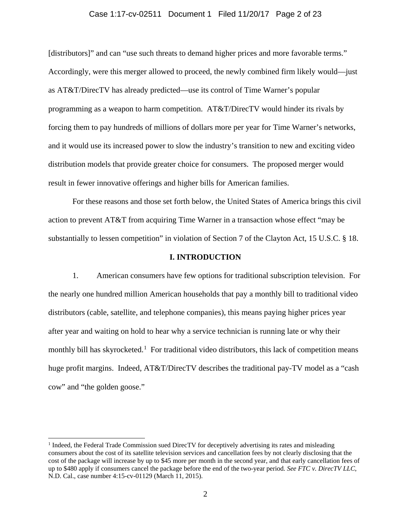### Case 1:17-cv-02511 Document 1 Filed 11/20/17 Page 2 of 23

[distributors]" and can "use such threats to demand higher prices and more favorable terms." Accordingly, were this merger allowed to proceed, the newly combined firm likely would—just as AT&T/DirecTV has already predicted—use its control of Time Warner's popular programming as a weapon to harm competition. AT&T/DirecTV would hinder its rivals by forcing them to pay hundreds of millions of dollars more per year for Time Warner's networks, and it would use its increased power to slow the industry's transition to new and exciting video distribution models that provide greater choice for consumers. The proposed merger would result in fewer innovative offerings and higher bills for American families.

For these reasons and those set forth below, the United States of America brings this civil action to prevent AT&T from acquiring Time Warner in a transaction whose effect "may be substantially to lessen competition" in violation of Section 7 of the Clayton Act, 15 U.S.C. § 18.

### **I. INTRODUCTION**

1. American consumers have few options for traditional subscription television. For the nearly one hundred million American households that pay a monthly bill to traditional video distributors (cable, satellite, and telephone companies), this means paying higher prices year after year and waiting on hold to hear why a service technician is running late or why their monthly bill has skyrocketed.<sup>1</sup> For traditional video distributors, this lack of competition means huge profit margins. Indeed, AT&T/DirecTV describes the traditional pay-TV model as a "cash" cow" and "the golden goose."

<sup>&</sup>lt;sup>1</sup> Indeed, the Federal Trade Commission sued DirecTV for deceptively advertising its rates and misleading consumers about the cost of its satellite television services and cancellation fees by not clearly disclosing that the cost of the package will increase by up to \$45 more per month in the second year, and that early cancellation fees of up to \$480 apply if consumers cancel the package before the end of the two-year period. *See FTC v. DirecTV LLC*, N.D. Cal., case number 4:15-cv-01129 (March 11, 2015).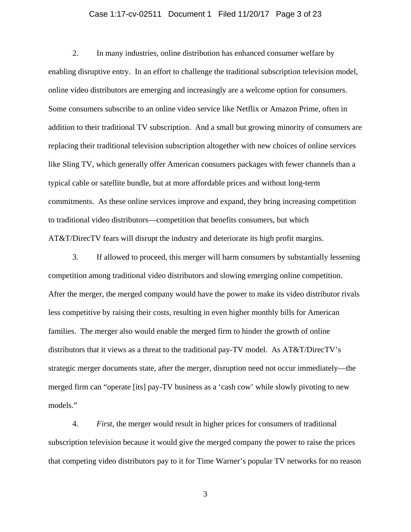### Case 1:17-cv-02511 Document 1 Filed 11/20/17 Page 3 of 23

2. In many industries, online distribution has enhanced consumer welfare by enabling disruptive entry. In an effort to challenge the traditional subscription television model, online video distributors are emerging and increasingly are a welcome option for consumers. Some consumers subscribe to an online video service like Netflix or Amazon Prime, often in addition to their traditional TV subscription. And a small but growing minority of consumers are replacing their traditional television subscription altogether with new choices of online services like Sling TV, which generally offer American consumers packages with fewer channels than a typical cable or satellite bundle, but at more affordable prices and without long-term commitments. As these online services improve and expand, they bring increasing competition to traditional video distributors—competition that benefits consumers, but which AT&T/DirecTV fears will disrupt the industry and deteriorate its high profit margins.

3. If allowed to proceed, this merger will harm consumers by substantially lessening competition among traditional video distributors and slowing emerging online competition. After the merger, the merged company would have the power to make its video distributor rivals less competitive by raising their costs, resulting in even higher monthly bills for American families. The merger also would enable the merged firm to hinder the growth of online distributors that it views as a threat to the traditional pay-TV model. As AT&T/DirecTV's strategic merger documents state, after the merger, disruption need not occur immediately—the merged firm can "operate [its] pay-TV business as a 'cash cow' while slowly pivoting to new models."

4. *First*, the merger would result in higher prices for consumers of traditional subscription television because it would give the merged company the power to raise the prices that competing video distributors pay to it for Time Warner's popular TV networks for no reason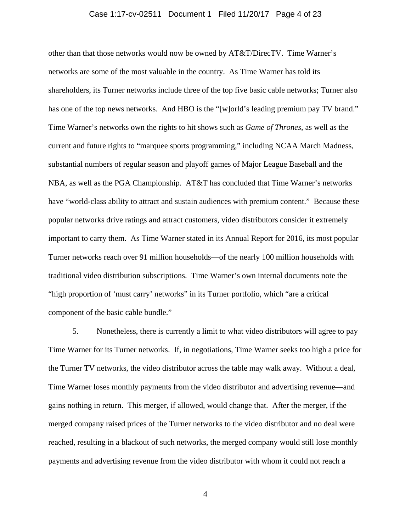### Case 1:17-cv-02511 Document 1 Filed 11/20/17 Page 4 of 23

other than that those networks would now be owned by AT&T/DirecTV. Time Warner's networks are some of the most valuable in the country. As Time Warner has told its shareholders, its Turner networks include three of the top five basic cable networks; Turner also has one of the top news networks. And HBO is the "[w]orld's leading premium pay TV brand." Time Warner's networks own the rights to hit shows such as *Game of Thrones*, as well as the current and future rights to "marquee sports programming," including NCAA March Madness, substantial numbers of regular season and playoff games of Major League Baseball and the NBA, as well as the PGA Championship. AT&T has concluded that Time Warner's networks have "world-class ability to attract and sustain audiences with premium content." Because these popular networks drive ratings and attract customers, video distributors consider it extremely important to carry them. As Time Warner stated in its Annual Report for 2016, its most popular Turner networks reach over 91 million households—of the nearly 100 million households with traditional video distribution subscriptions. Time Warner's own internal documents note the "high proportion of 'must carry' networks" in its Turner portfolio, which "are a critical component of the basic cable bundle."

5. Nonetheless, there is currently a limit to what video distributors will agree to pay Time Warner for its Turner networks. If, in negotiations, Time Warner seeks too high a price for the Turner TV networks, the video distributor across the table may walk away. Without a deal, Time Warner loses monthly payments from the video distributor and advertising revenue—and gains nothing in return. This merger, if allowed, would change that. After the merger, if the merged company raised prices of the Turner networks to the video distributor and no deal were reached, resulting in a blackout of such networks, the merged company would still lose monthly payments and advertising revenue from the video distributor with whom it could not reach a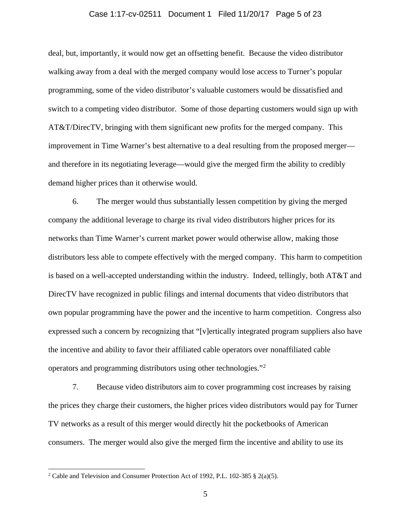### Case 1:17-cv-02511 Document 1 Filed 11/20/17 Page 5 of 23

deal, but, importantly, it would now get an offsetting benefit. Because the video distributor walking away from a deal with the merged company would lose access to Turner's popular programming, some of the video distributor's valuable customers would be dissatisfied and switch to a competing video distributor. Some of those departing customers would sign up with AT&T/DirecTV, bringing with them significant new profits for the merged company. This improvement in Time Warner's best alternative to a deal resulting from the proposed merger and therefore in its negotiating leverage—would give the merged firm the ability to credibly demand higher prices than it otherwise would.

6. The merger would thus substantially lessen competition by giving the merged company the additional leverage to charge its rival video distributors higher prices for its networks than Time Warner's current market power would otherwise allow, making those distributors less able to compete effectively with the merged company. This harm to competition is based on a well-accepted understanding within the industry. Indeed, tellingly, both AT&T and DirecTV have recognized in public filings and internal documents that video distributors that own popular programming have the power and the incentive to harm competition. Congress also expressed such a concern by recognizing that "[v]ertically integrated program suppliers also have the incentive and ability to favor their affiliated cable operators over nonaffiliated cable operators and programming distributors using other technologies."<sup>2</sup>

7. Because video distributors aim to cover programming cost increases by raising the prices they charge their customers, the higher prices video distributors would pay for Turner TV networks as a result of this merger would directly hit the pocketbooks of American consumers. The merger would also give the merged firm the incentive and ability to use its

 <sup>2</sup> Cable and Television and Consumer Protection Act of 1992, P.L. 102-385 § 2(a)(5).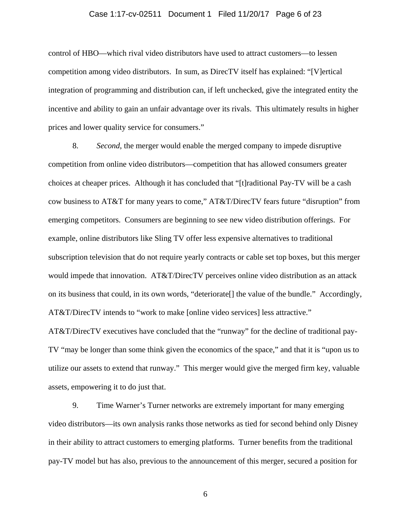### Case 1:17-cv-02511 Document 1 Filed 11/20/17 Page 6 of 23

control of HBO—which rival video distributors have used to attract customers—to lessen competition among video distributors. In sum, as DirecTV itself has explained: "[V]ertical integration of programming and distribution can, if left unchecked, give the integrated entity the incentive and ability to gain an unfair advantage over its rivals. This ultimately results in higher prices and lower quality service for consumers."

8. *Second*, the merger would enable the merged company to impede disruptive competition from online video distributors—competition that has allowed consumers greater choices at cheaper prices. Although it has concluded that "[t]raditional Pay-TV will be a cash cow business to AT&T for many years to come," AT&T/DirecTV fears future "disruption" from emerging competitors. Consumers are beginning to see new video distribution offerings. For example, online distributors like Sling TV offer less expensive alternatives to traditional subscription television that do not require yearly contracts or cable set top boxes, but this merger would impede that innovation. AT&T/DirecTV perceives online video distribution as an attack on its business that could, in its own words, "deteriorate[] the value of the bundle." Accordingly, AT&T/DirecTV intends to "work to make [online video services] less attractive."

AT&T/DirecTV executives have concluded that the "runway" for the decline of traditional pay-TV "may be longer than some think given the economics of the space," and that it is "upon us to utilize our assets to extend that runway." This merger would give the merged firm key, valuable assets, empowering it to do just that.

9. Time Warner's Turner networks are extremely important for many emerging video distributors—its own analysis ranks those networks as tied for second behind only Disney in their ability to attract customers to emerging platforms. Turner benefits from the traditional pay-TV model but has also, previous to the announcement of this merger, secured a position for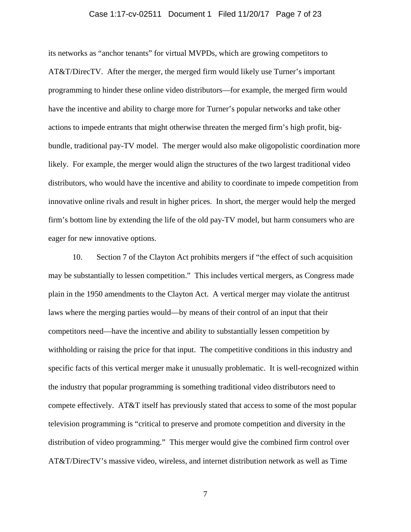### Case 1:17-cv-02511 Document 1 Filed 11/20/17 Page 7 of 23

its networks as "anchor tenants" for virtual MVPDs, which are growing competitors to AT&T/DirecTV. After the merger, the merged firm would likely use Turner's important programming to hinder these online video distributors—for example, the merged firm would have the incentive and ability to charge more for Turner's popular networks and take other actions to impede entrants that might otherwise threaten the merged firm's high profit, bigbundle, traditional pay-TV model. The merger would also make oligopolistic coordination more likely. For example, the merger would align the structures of the two largest traditional video distributors, who would have the incentive and ability to coordinate to impede competition from innovative online rivals and result in higher prices. In short, the merger would help the merged firm's bottom line by extending the life of the old pay-TV model, but harm consumers who are eager for new innovative options.

10. Section 7 of the Clayton Act prohibits mergers if "the effect of such acquisition may be substantially to lessen competition." This includes vertical mergers, as Congress made plain in the 1950 amendments to the Clayton Act. A vertical merger may violate the antitrust laws where the merging parties would—by means of their control of an input that their competitors need—have the incentive and ability to substantially lessen competition by withholding or raising the price for that input. The competitive conditions in this industry and specific facts of this vertical merger make it unusually problematic. It is well-recognized within the industry that popular programming is something traditional video distributors need to compete effectively. AT&T itself has previously stated that access to some of the most popular television programming is "critical to preserve and promote competition and diversity in the distribution of video programming." This merger would give the combined firm control over AT&T/DirecTV's massive video, wireless, and internet distribution network as well as Time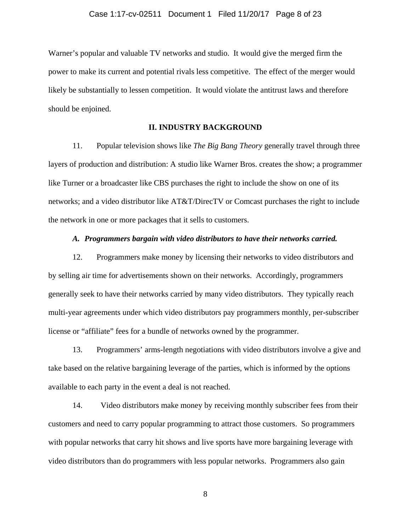Warner's popular and valuable TV networks and studio. It would give the merged firm the power to make its current and potential rivals less competitive. The effect of the merger would likely be substantially to lessen competition. It would violate the antitrust laws and therefore should be enjoined.

## **II. INDUSTRY BACKGROUND**

11. Popular television shows like *The Big Bang Theory* generally travel through three layers of production and distribution: A studio like Warner Bros. creates the show; a programmer like Turner or a broadcaster like CBS purchases the right to include the show on one of its networks; and a video distributor like AT&T/DirecTV or Comcast purchases the right to include the network in one or more packages that it sells to customers.

### *A. Programmers bargain with video distributors to have their networks carried.*

12. Programmers make money by licensing their networks to video distributors and by selling air time for advertisements shown on their networks. Accordingly, programmers generally seek to have their networks carried by many video distributors. They typically reach multi-year agreements under which video distributors pay programmers monthly, per-subscriber license or "affiliate" fees for a bundle of networks owned by the programmer.

13. Programmers' arms-length negotiations with video distributors involve a give and take based on the relative bargaining leverage of the parties, which is informed by the options available to each party in the event a deal is not reached.

14. Video distributors make money by receiving monthly subscriber fees from their customers and need to carry popular programming to attract those customers. So programmers with popular networks that carry hit shows and live sports have more bargaining leverage with video distributors than do programmers with less popular networks. Programmers also gain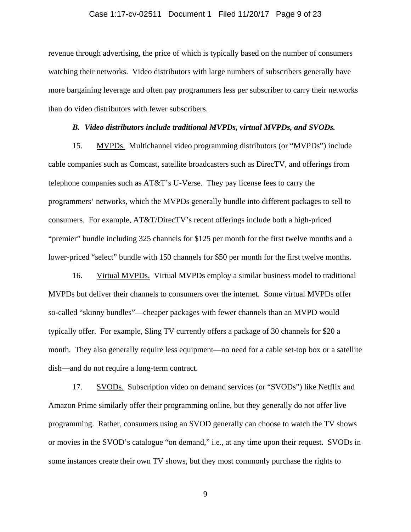### Case 1:17-cv-02511 Document 1 Filed 11/20/17 Page 9 of 23

revenue through advertising, the price of which is typically based on the number of consumers watching their networks. Video distributors with large numbers of subscribers generally have more bargaining leverage and often pay programmers less per subscriber to carry their networks than do video distributors with fewer subscribers.

### *B. Video distributors include traditional MVPDs, virtual MVPDs, and SVODs.*

15. MVPDs.Multichannel video programming distributors (or "MVPDs") include cable companies such as Comcast, satellite broadcasters such as DirecTV, and offerings from telephone companies such as AT&T's U-Verse. They pay license fees to carry the programmers' networks, which the MVPDs generally bundle into different packages to sell to consumers. For example, AT&T/DirecTV's recent offerings include both a high-priced "premier" bundle including 325 channels for \$125 per month for the first twelve months and a lower-priced "select" bundle with 150 channels for \$50 per month for the first twelve months.

16. Virtual MVPDs. Virtual MVPDs employ a similar business model to traditional MVPDs but deliver their channels to consumers over the internet. Some virtual MVPDs offer so-called "skinny bundles"—cheaper packages with fewer channels than an MVPD would typically offer. For example, Sling TV currently offers a package of 30 channels for \$20 a month. They also generally require less equipment—no need for a cable set-top box or a satellite dish—and do not require a long-term contract.

17. SVODs. Subscription video on demand services (or "SVODs") like Netflix and Amazon Prime similarly offer their programming online, but they generally do not offer live programming. Rather, consumers using an SVOD generally can choose to watch the TV shows or movies in the SVOD's catalogue "on demand," i.e., at any time upon their request. SVODs in some instances create their own TV shows, but they most commonly purchase the rights to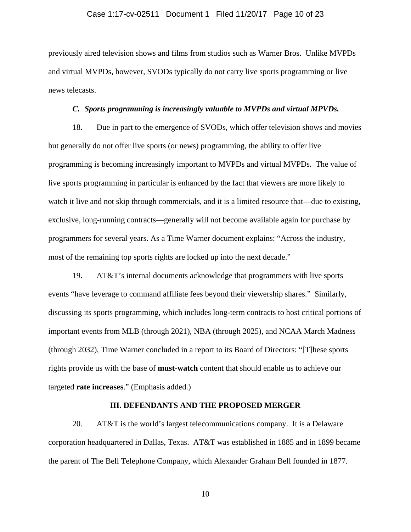### Case 1:17-cv-02511 Document 1 Filed 11/20/17 Page 10 of 23

previously aired television shows and films from studios such as Warner Bros. Unlike MVPDs and virtual MVPDs, however, SVODs typically do not carry live sports programming or live news telecasts.

### *C. Sports programming is increasingly valuable to MVPDs and virtual MPVDs.*

18. Due in part to the emergence of SVODs, which offer television shows and movies but generally do not offer live sports (or news) programming, the ability to offer live programming is becoming increasingly important to MVPDs and virtual MVPDs. The value of live sports programming in particular is enhanced by the fact that viewers are more likely to watch it live and not skip through commercials, and it is a limited resource that—due to existing, exclusive, long-running contracts—generally will not become available again for purchase by programmers for several years. As a Time Warner document explains: "Across the industry, most of the remaining top sports rights are locked up into the next decade."

19. AT&T's internal documents acknowledge that programmers with live sports events "have leverage to command affiliate fees beyond their viewership shares." Similarly, discussing its sports programming, which includes long-term contracts to host critical portions of important events from MLB (through 2021), NBA (through 2025), and NCAA March Madness (through 2032), Time Warner concluded in a report to its Board of Directors: "[T]hese sports rights provide us with the base of **must-watch** content that should enable us to achieve our targeted **rate increases**." (Emphasis added.)

### **III. DEFENDANTS AND THE PROPOSED MERGER**

20. AT&T is the world's largest telecommunications company. It is a Delaware corporation headquartered in Dallas, Texas. AT&T was established in 1885 and in 1899 became the parent of The Bell Telephone Company, which Alexander Graham Bell founded in 1877.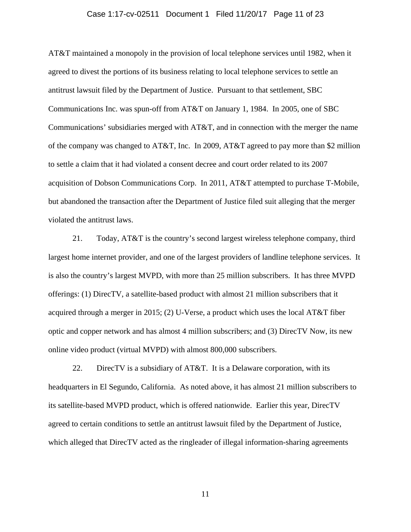### Case 1:17-cv-02511 Document 1 Filed 11/20/17 Page 11 of 23

AT&T maintained a monopoly in the provision of local telephone services until 1982, when it agreed to divest the portions of its business relating to local telephone services to settle an antitrust lawsuit filed by the Department of Justice. Pursuant to that settlement, SBC Communications Inc. was spun-off from AT&T on January 1, 1984. In 2005, one of SBC Communications' subsidiaries merged with AT&T, and in connection with the merger the name of the company was changed to AT&T, Inc. In 2009, AT&T agreed to pay more than \$2 million to settle a claim that it had violated a consent decree and court order related to its 2007 acquisition of Dobson Communications Corp. In 2011, AT&T attempted to purchase T-Mobile, but abandoned the transaction after the Department of Justice filed suit alleging that the merger violated the antitrust laws.

21. Today, AT&T is the country's second largest wireless telephone company, third largest home internet provider, and one of the largest providers of landline telephone services. It is also the country's largest MVPD, with more than 25 million subscribers. It has three MVPD offerings: (1) DirecTV, a satellite-based product with almost 21 million subscribers that it acquired through a merger in 2015; (2) U-Verse, a product which uses the local AT&T fiber optic and copper network and has almost 4 million subscribers; and (3) DirecTV Now, its new online video product (virtual MVPD) with almost 800,000 subscribers.

22. DirecTV is a subsidiary of AT&T. It is a Delaware corporation, with its headquarters in El Segundo, California. As noted above, it has almost 21 million subscribers to its satellite-based MVPD product, which is offered nationwide. Earlier this year, DirecTV agreed to certain conditions to settle an antitrust lawsuit filed by the Department of Justice, which alleged that DirecTV acted as the ringleader of illegal information-sharing agreements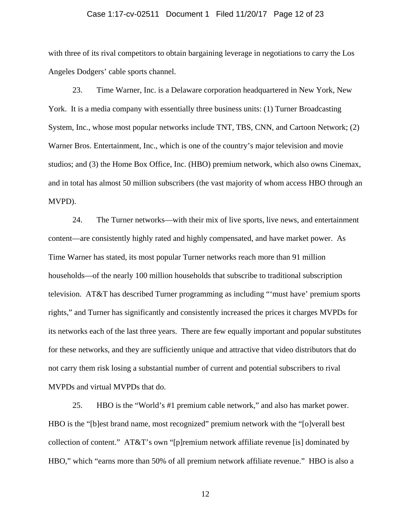### Case 1:17-cv-02511 Document 1 Filed 11/20/17 Page 12 of 23

with three of its rival competitors to obtain bargaining leverage in negotiations to carry the Los Angeles Dodgers' cable sports channel.

23. Time Warner, Inc. is a Delaware corporation headquartered in New York, New York. It is a media company with essentially three business units: (1) Turner Broadcasting System, Inc., whose most popular networks include TNT, TBS, CNN, and Cartoon Network; (2) Warner Bros. Entertainment, Inc., which is one of the country's major television and movie studios; and (3) the Home Box Office, Inc. (HBO) premium network, which also owns Cinemax, and in total has almost 50 million subscribers (the vast majority of whom access HBO through an MVPD).

24. The Turner networks—with their mix of live sports, live news, and entertainment content—are consistently highly rated and highly compensated, and have market power. As Time Warner has stated, its most popular Turner networks reach more than 91 million households—of the nearly 100 million households that subscribe to traditional subscription television. AT&T has described Turner programming as including "'must have' premium sports rights," and Turner has significantly and consistently increased the prices it charges MVPDs for its networks each of the last three years. There are few equally important and popular substitutes for these networks, and they are sufficiently unique and attractive that video distributors that do not carry them risk losing a substantial number of current and potential subscribers to rival MVPDs and virtual MVPDs that do.

25. HBO is the "World's #1 premium cable network," and also has market power. HBO is the "[b]est brand name, most recognized" premium network with the "[o]verall best collection of content." AT&T's own "[p]remium network affiliate revenue [is] dominated by HBO," which "earns more than 50% of all premium network affiliate revenue." HBO is also a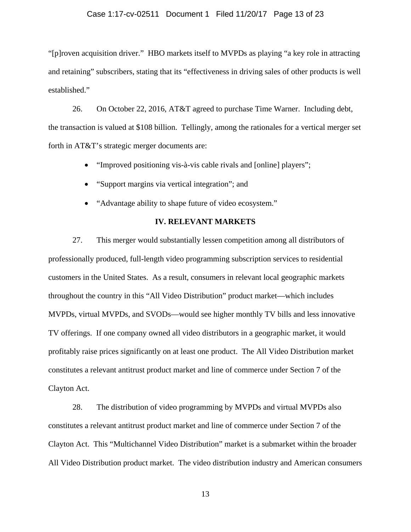### Case 1:17-cv-02511 Document 1 Filed 11/20/17 Page 13 of 23

"[p]roven acquisition driver." HBO markets itself to MVPDs as playing "a key role in attracting and retaining" subscribers, stating that its "effectiveness in driving sales of other products is well established."

26. On October 22, 2016, AT&T agreed to purchase Time Warner. Including debt, the transaction is valued at \$108 billion. Tellingly, among the rationales for a vertical merger set forth in AT&T's strategic merger documents are:

- "Improved positioning vis-à-vis cable rivals and [online] players";
- "Support margins via vertical integration"; and
- "Advantage ability to shape future of video ecosystem."

# **IV. RELEVANT MARKETS**

27. This merger would substantially lessen competition among all distributors of professionally produced, full-length video programming subscription services to residential customers in the United States. As a result, consumers in relevant local geographic markets throughout the country in this "All Video Distribution" product market—which includes MVPDs, virtual MVPDs, and SVODs—would see higher monthly TV bills and less innovative TV offerings. If one company owned all video distributors in a geographic market, it would profitably raise prices significantly on at least one product. The All Video Distribution market constitutes a relevant antitrust product market and line of commerce under Section 7 of the Clayton Act.

28. The distribution of video programming by MVPDs and virtual MVPDs also constitutes a relevant antitrust product market and line of commerce under Section 7 of the Clayton Act. This "Multichannel Video Distribution" market is a submarket within the broader All Video Distribution product market. The video distribution industry and American consumers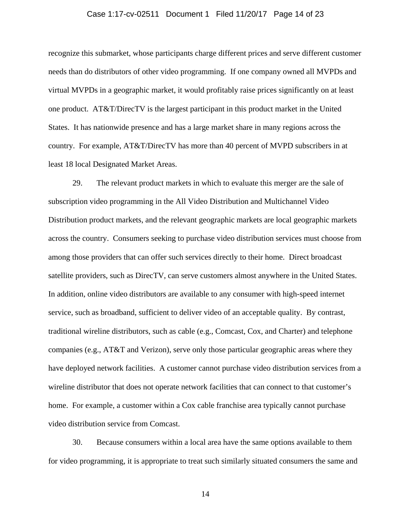### Case 1:17-cv-02511 Document 1 Filed 11/20/17 Page 14 of 23

recognize this submarket, whose participants charge different prices and serve different customer needs than do distributors of other video programming. If one company owned all MVPDs and virtual MVPDs in a geographic market, it would profitably raise prices significantly on at least one product. AT&T/DirecTV is the largest participant in this product market in the United States. It has nationwide presence and has a large market share in many regions across the country. For example, AT&T/DirecTV has more than 40 percent of MVPD subscribers in at least 18 local Designated Market Areas.

29. The relevant product markets in which to evaluate this merger are the sale of subscription video programming in the All Video Distribution and Multichannel Video Distribution product markets, and the relevant geographic markets are local geographic markets across the country. Consumers seeking to purchase video distribution services must choose from among those providers that can offer such services directly to their home. Direct broadcast satellite providers, such as DirecTV, can serve customers almost anywhere in the United States. In addition, online video distributors are available to any consumer with high-speed internet service, such as broadband, sufficient to deliver video of an acceptable quality. By contrast, traditional wireline distributors, such as cable (e.g., Comcast, Cox, and Charter) and telephone companies (e.g., AT&T and Verizon), serve only those particular geographic areas where they have deployed network facilities. A customer cannot purchase video distribution services from a wireline distributor that does not operate network facilities that can connect to that customer's home. For example, a customer within a Cox cable franchise area typically cannot purchase video distribution service from Comcast.

30. Because consumers within a local area have the same options available to them for video programming, it is appropriate to treat such similarly situated consumers the same and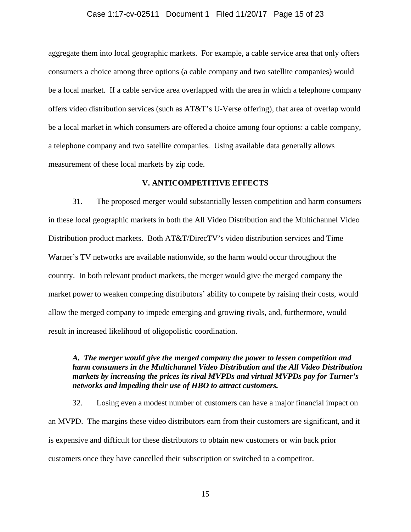#### Case 1:17-cv-02511 Document 1 Filed 11/20/17 Page 15 of 23

aggregate them into local geographic markets. For example, a cable service area that only offers consumers a choice among three options (a cable company and two satellite companies) would be a local market. If a cable service area overlapped with the area in which a telephone company offers video distribution services (such as AT&T's U-Verse offering), that area of overlap would be a local market in which consumers are offered a choice among four options: a cable company, a telephone company and two satellite companies. Using available data generally allows measurement of these local markets by zip code.

## **V. ANTICOMPETITIVE EFFECTS**

31. The proposed merger would substantially lessen competition and harm consumers in these local geographic markets in both the All Video Distribution and the Multichannel Video Distribution product markets. Both AT&T/DirecTV's video distribution services and Time Warner's TV networks are available nationwide, so the harm would occur throughout the country. In both relevant product markets, the merger would give the merged company the market power to weaken competing distributors' ability to compete by raising their costs, would allow the merged company to impede emerging and growing rivals, and, furthermore, would result in increased likelihood of oligopolistic coordination.

# *A. The merger would give the merged company the power to lessen competition and harm consumers in the Multichannel Video Distribution and the All Video Distribution markets by increasing the prices its rival MVPDs and virtual MVPDs pay for Turner's networks and impeding their use of HBO to attract customers.*

32. Losing even a modest number of customers can have a major financial impact on an MVPD. The margins these video distributors earn from their customers are significant, and it is expensive and difficult for these distributors to obtain new customers or win back prior customers once they have cancelled their subscription or switched to a competitor.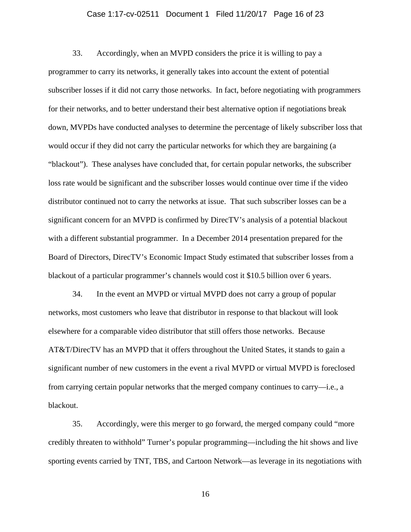### Case 1:17-cv-02511 Document 1 Filed 11/20/17 Page 16 of 23

33. Accordingly, when an MVPD considers the price it is willing to pay a programmer to carry its networks, it generally takes into account the extent of potential subscriber losses if it did not carry those networks. In fact, before negotiating with programmers for their networks, and to better understand their best alternative option if negotiations break down, MVPDs have conducted analyses to determine the percentage of likely subscriber loss that would occur if they did not carry the particular networks for which they are bargaining (a "blackout"). These analyses have concluded that, for certain popular networks, the subscriber loss rate would be significant and the subscriber losses would continue over time if the video distributor continued not to carry the networks at issue. That such subscriber losses can be a significant concern for an MVPD is confirmed by DirecTV's analysis of a potential blackout with a different substantial programmer. In a December 2014 presentation prepared for the Board of Directors, DirecTV's Economic Impact Study estimated that subscriber losses from a blackout of a particular programmer's channels would cost it \$10.5 billion over 6 years.

34. In the event an MVPD or virtual MVPD does not carry a group of popular networks, most customers who leave that distributor in response to that blackout will look elsewhere for a comparable video distributor that still offers those networks. Because AT&T/DirecTV has an MVPD that it offers throughout the United States, it stands to gain a significant number of new customers in the event a rival MVPD or virtual MVPD is foreclosed from carrying certain popular networks that the merged company continues to carry—i.e., a blackout.

35. Accordingly, were this merger to go forward, the merged company could "more credibly threaten to withhold" Turner's popular programming—including the hit shows and live sporting events carried by TNT, TBS, and Cartoon Network—as leverage in its negotiations with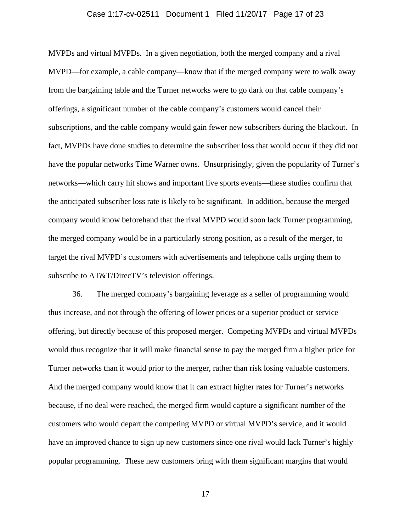### Case 1:17-cv-02511 Document 1 Filed 11/20/17 Page 17 of 23

MVPDs and virtual MVPDs. In a given negotiation, both the merged company and a rival MVPD—for example, a cable company—know that if the merged company were to walk away from the bargaining table and the Turner networks were to go dark on that cable company's offerings, a significant number of the cable company's customers would cancel their subscriptions, and the cable company would gain fewer new subscribers during the blackout. In fact, MVPDs have done studies to determine the subscriber loss that would occur if they did not have the popular networks Time Warner owns. Unsurprisingly, given the popularity of Turner's networks—which carry hit shows and important live sports events—these studies confirm that the anticipated subscriber loss rate is likely to be significant. In addition, because the merged company would know beforehand that the rival MVPD would soon lack Turner programming, the merged company would be in a particularly strong position, as a result of the merger, to target the rival MVPD's customers with advertisements and telephone calls urging them to subscribe to AT&T/DirecTV's television offerings.

36. The merged company's bargaining leverage as a seller of programming would thus increase, and not through the offering of lower prices or a superior product or service offering, but directly because of this proposed merger. Competing MVPDs and virtual MVPDs would thus recognize that it will make financial sense to pay the merged firm a higher price for Turner networks than it would prior to the merger, rather than risk losing valuable customers. And the merged company would know that it can extract higher rates for Turner's networks because, if no deal were reached, the merged firm would capture a significant number of the customers who would depart the competing MVPD or virtual MVPD's service, and it would have an improved chance to sign up new customers since one rival would lack Turner's highly popular programming. These new customers bring with them significant margins that would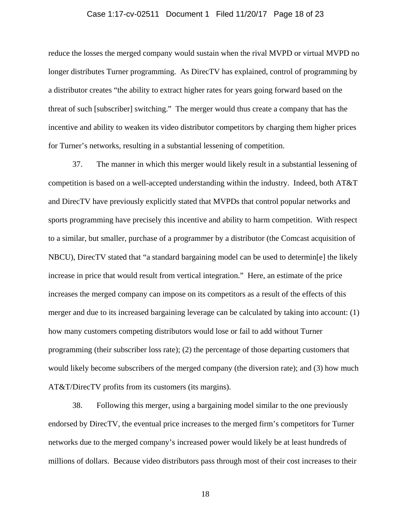### Case 1:17-cv-02511 Document 1 Filed 11/20/17 Page 18 of 23

reduce the losses the merged company would sustain when the rival MVPD or virtual MVPD no longer distributes Turner programming. As DirecTV has explained, control of programming by a distributor creates "the ability to extract higher rates for years going forward based on the threat of such [subscriber] switching." The merger would thus create a company that has the incentive and ability to weaken its video distributor competitors by charging them higher prices for Turner's networks, resulting in a substantial lessening of competition.

37. The manner in which this merger would likely result in a substantial lessening of competition is based on a well-accepted understanding within the industry. Indeed, both AT&T and DirecTV have previously explicitly stated that MVPDs that control popular networks and sports programming have precisely this incentive and ability to harm competition. With respect to a similar, but smaller, purchase of a programmer by a distributor (the Comcast acquisition of NBCU), DirecTV stated that "a standard bargaining model can be used to determin[e] the likely increase in price that would result from vertical integration." Here, an estimate of the price increases the merged company can impose on its competitors as a result of the effects of this merger and due to its increased bargaining leverage can be calculated by taking into account: (1) how many customers competing distributors would lose or fail to add without Turner programming (their subscriber loss rate); (2) the percentage of those departing customers that would likely become subscribers of the merged company (the diversion rate); and (3) how much AT&T/DirecTV profits from its customers (its margins).

38. Following this merger, using a bargaining model similar to the one previously endorsed by DirecTV, the eventual price increases to the merged firm's competitors for Turner networks due to the merged company's increased power would likely be at least hundreds of millions of dollars. Because video distributors pass through most of their cost increases to their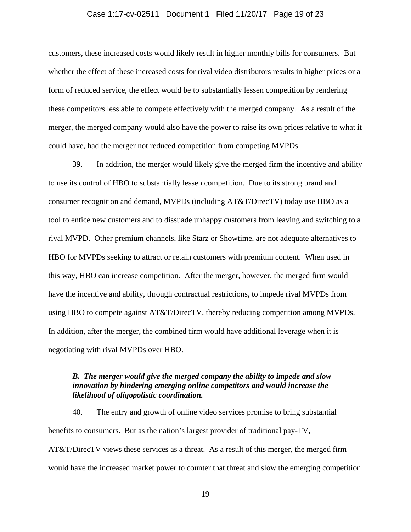### Case 1:17-cv-02511 Document 1 Filed 11/20/17 Page 19 of 23

customers, these increased costs would likely result in higher monthly bills for consumers. But whether the effect of these increased costs for rival video distributors results in higher prices or a form of reduced service, the effect would be to substantially lessen competition by rendering these competitors less able to compete effectively with the merged company. As a result of the merger, the merged company would also have the power to raise its own prices relative to what it could have, had the merger not reduced competition from competing MVPDs.

39. In addition, the merger would likely give the merged firm the incentive and ability to use its control of HBO to substantially lessen competition. Due to its strong brand and consumer recognition and demand, MVPDs (including AT&T/DirecTV) today use HBO as a tool to entice new customers and to dissuade unhappy customers from leaving and switching to a rival MVPD. Other premium channels, like Starz or Showtime, are not adequate alternatives to HBO for MVPDs seeking to attract or retain customers with premium content. When used in this way, HBO can increase competition. After the merger, however, the merged firm would have the incentive and ability, through contractual restrictions, to impede rival MVPDs from using HBO to compete against AT&T/DirecTV, thereby reducing competition among MVPDs. In addition, after the merger, the combined firm would have additional leverage when it is negotiating with rival MVPDs over HBO.

# *B. The merger would give the merged company the ability to impede and slow innovation by hindering emerging online competitors and would increase the likelihood of oligopolistic coordination.*

40. The entry and growth of online video services promise to bring substantial benefits to consumers. But as the nation's largest provider of traditional pay-TV, AT&T/DirecTV views these services as a threat. As a result of this merger, the merged firm would have the increased market power to counter that threat and slow the emerging competition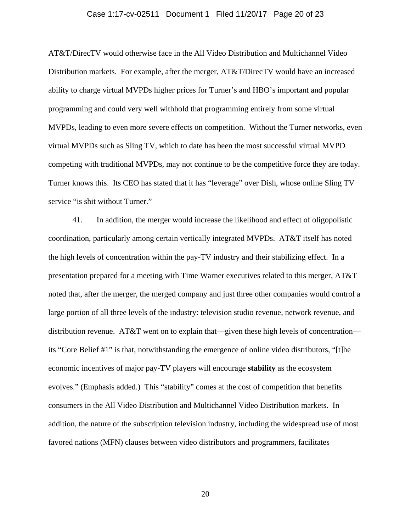### Case 1:17-cv-02511 Document 1 Filed 11/20/17 Page 20 of 23

AT&T/DirecTV would otherwise face in the All Video Distribution and Multichannel Video Distribution markets. For example, after the merger, AT&T/DirecTV would have an increased ability to charge virtual MVPDs higher prices for Turner's and HBO's important and popular programming and could very well withhold that programming entirely from some virtual MVPDs, leading to even more severe effects on competition. Without the Turner networks, even virtual MVPDs such as Sling TV, which to date has been the most successful virtual MVPD competing with traditional MVPDs, may not continue to be the competitive force they are today. Turner knows this. Its CEO has stated that it has "leverage" over Dish, whose online Sling TV service "is shit without Turner."

41. In addition, the merger would increase the likelihood and effect of oligopolistic coordination, particularly among certain vertically integrated MVPDs. AT&T itself has noted the high levels of concentration within the pay-TV industry and their stabilizing effect. In a presentation prepared for a meeting with Time Warner executives related to this merger, AT&T noted that, after the merger, the merged company and just three other companies would control a large portion of all three levels of the industry: television studio revenue, network revenue, and distribution revenue. AT&T went on to explain that—given these high levels of concentration its "Core Belief #1" is that, notwithstanding the emergence of online video distributors, "[t]he economic incentives of major pay-TV players will encourage **stability** as the ecosystem evolves." (Emphasis added.) This "stability" comes at the cost of competition that benefits consumers in the All Video Distribution and Multichannel Video Distribution markets. In addition, the nature of the subscription television industry, including the widespread use of most favored nations (MFN) clauses between video distributors and programmers, facilitates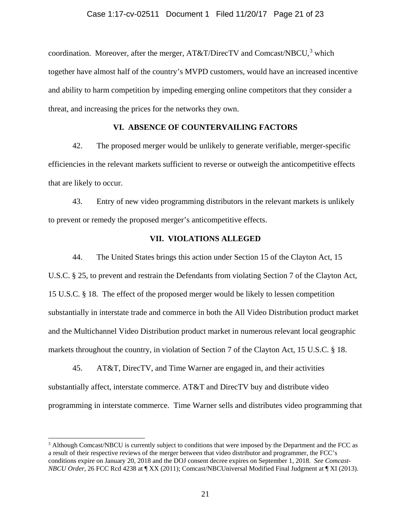### Case 1:17-cv-02511 Document 1 Filed 11/20/17 Page 21 of 23

coordination. Moreover, after the merger,  $AT&T/D \text{irec} TV$  and  $Comcast/NECU<sup>3</sup>$  which together have almost half of the country's MVPD customers, would have an increased incentive and ability to harm competition by impeding emerging online competitors that they consider a threat, and increasing the prices for the networks they own.

## **VI. ABSENCE OF COUNTERVAILING FACTORS**

42. The proposed merger would be unlikely to generate verifiable, merger-specific efficiencies in the relevant markets sufficient to reverse or outweigh the anticompetitive effects that are likely to occur.

43. Entry of new video programming distributors in the relevant markets is unlikely to prevent or remedy the proposed merger's anticompetitive effects.

## **VII. VIOLATIONS ALLEGED**

44. The United States brings this action under Section 15 of the Clayton Act, 15 U.S.C. § 25, to prevent and restrain the Defendants from violating Section 7 of the Clayton Act, 15 U.S.C. § 18. The effect of the proposed merger would be likely to lessen competition substantially in interstate trade and commerce in both the All Video Distribution product market and the Multichannel Video Distribution product market in numerous relevant local geographic markets throughout the country, in violation of Section 7 of the Clayton Act, 15 U.S.C. § 18.

45. AT&T, DirecTV, and Time Warner are engaged in, and their activities substantially affect, interstate commerce. AT&T and DirecTV buy and distribute video programming in interstate commerce. Time Warner sells and distributes video programming that

 <sup>3</sup> Although Comcast/NBCU is currently subject to conditions that were imposed by the Department and the FCC as a result of their respective reviews of the merger between that video distributor and programmer, the FCC's conditions expire on January 20, 2018 and the DOJ consent decree expires on September 1, 2018. *See Comcast-NBCU Order*, 26 FCC Rcd 4238 at  $\parallel$  XX (2011); Comcast/NBCUniversal Modified Final Judgment at  $\parallel$  XI (2013).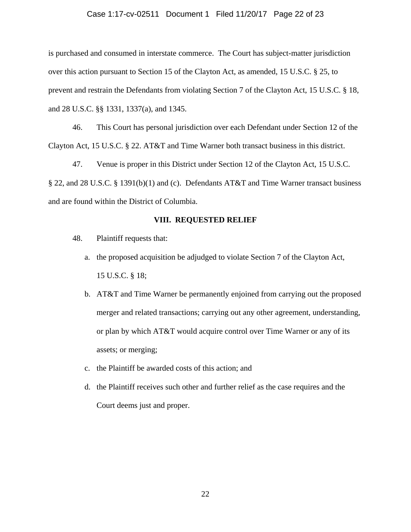### Case 1:17-cv-02511 Document 1 Filed 11/20/17 Page 22 of 23

is purchased and consumed in interstate commerce. The Court has subject-matter jurisdiction over this action pursuant to Section 15 of the Clayton Act, as amended, 15 U.S.C. § 25, to prevent and restrain the Defendants from violating Section 7 of the Clayton Act, 15 U.S.C. § 18, and 28 U.S.C. §§ 1331, 1337(a), and 1345.

46. This Court has personal jurisdiction over each Defendant under Section 12 of the Clayton Act, 15 U.S.C. § 22. AT&T and Time Warner both transact business in this district.

47. Venue is proper in this District under Section 12 of the Clayton Act, 15 U.S.C. § 22, and 28 U.S.C. § 1391(b)(1) and (c). Defendants AT&T and Time Warner transact business and are found within the District of Columbia.

## **VIII. REQUESTED RELIEF**

- 48. Plaintiff requests that:
	- a. the proposed acquisition be adjudged to violate Section 7 of the Clayton Act, 15 U.S.C. § 18;
	- b. AT&T and Time Warner be permanently enjoined from carrying out the proposed merger and related transactions; carrying out any other agreement, understanding, or plan by which AT&T would acquire control over Time Warner or any of its assets; or merging;
	- c. the Plaintiff be awarded costs of this action; and
	- d. the Plaintiff receives such other and further relief as the case requires and the Court deems just and proper.